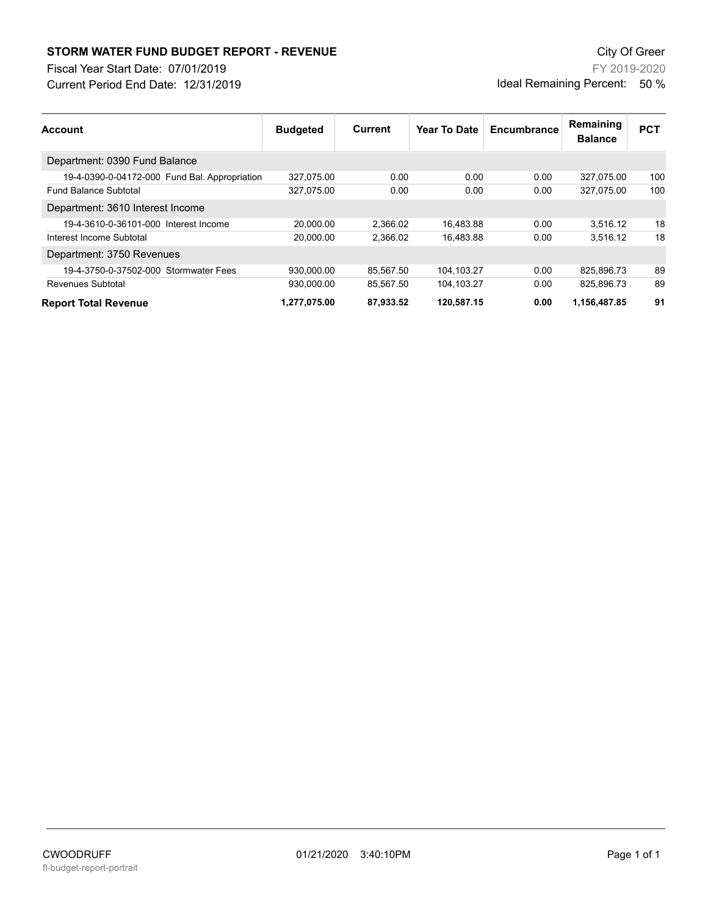## **STORM WATER FUND BUDGET REPORT - REVENUE City Of Greer** City Of Greer

Fiscal Year Start Date: 07/01/2019

Current Period End Date: 12/31/2019

FY 2019-2020 Ideal Remaining Percent: 50 %

| <b>Account</b>                                | <b>Budgeted</b> | Current   | <b>Year To Date</b> | Encumbrance | Remaining<br><b>Balance</b> | <b>PCT</b> |
|-----------------------------------------------|-----------------|-----------|---------------------|-------------|-----------------------------|------------|
| Department: 0390 Fund Balance                 |                 |           |                     |             |                             |            |
| 19-4-0390-0-04172-000 Fund Bal. Appropriation | 327,075.00      | 0.00      | 0.00                | 0.00        | 327,075.00                  | 100        |
| <b>Fund Balance Subtotal</b>                  | 327,075.00      | 0.00      | 0.00                | 0.00        | 327.075.00                  | 100        |
| Department: 3610 Interest Income              |                 |           |                     |             |                             |            |
| 19-4-3610-0-36101-000 Interest Income         | 20.000.00       | 2.366.02  | 16.483.88           | 0.00        | 3.516.12                    | 18         |
| Interest Income Subtotal                      | 20.000.00       | 2.366.02  | 16.483.88           | 0.00        | 3.516.12                    | 18         |
| Department: 3750 Revenues                     |                 |           |                     |             |                             |            |
| 19-4-3750-0-37502-000 Stormwater Fees         | 930.000.00      | 85,567.50 | 104.103.27          | 0.00        | 825.896.73                  | 89         |
| Revenues Subtotal                             | 930.000.00      | 85.567.50 | 104.103.27          | 0.00        | 825.896.73                  | 89         |
| <b>Report Total Revenue</b>                   | 1.277.075.00    | 87.933.52 | 120.587.15          | 0.00        | 1,156,487.85                | 91         |